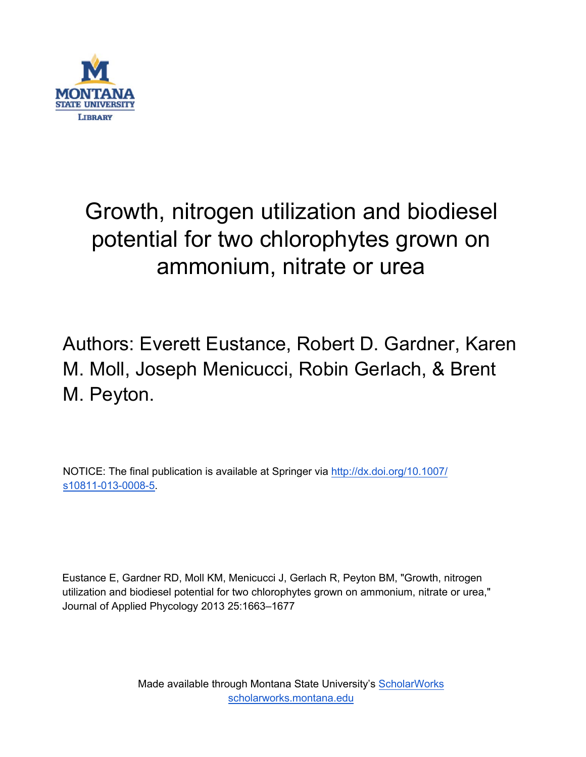

# Growth, nitrogen utilization and biodiesel potential for two chlorophytes grown on ammonium, nitrate or urea

Authors: Everett Eustance, Robert D. Gardner, Karen M. Moll, Joseph Menicucci, Robin Gerlach, & Brent M. Peyton.

NOTICE: The final publication is available at Springer vi[a http://dx.doi.org/10.1007/](http://dx.doi.org/10.1007/s10811-013-0008-5) [s10811-013-0008-5.](http://dx.doi.org/10.1007/s10811-013-0008-5)

Eustance E, Gardner RD, Moll KM, Menicucci J, Gerlach R, Peyton BM, "Growth, nitrogen utilization and biodiesel potential for two chlorophytes grown on ammonium, nitrate or urea," Journal of Applied Phycology 2013 25:1663–1677

> Made available through Montana State University's [ScholarWorks](http://scholarworks.montana.edu/) [scholarworks.montana.edu](http://scholarworks.montana.edu/)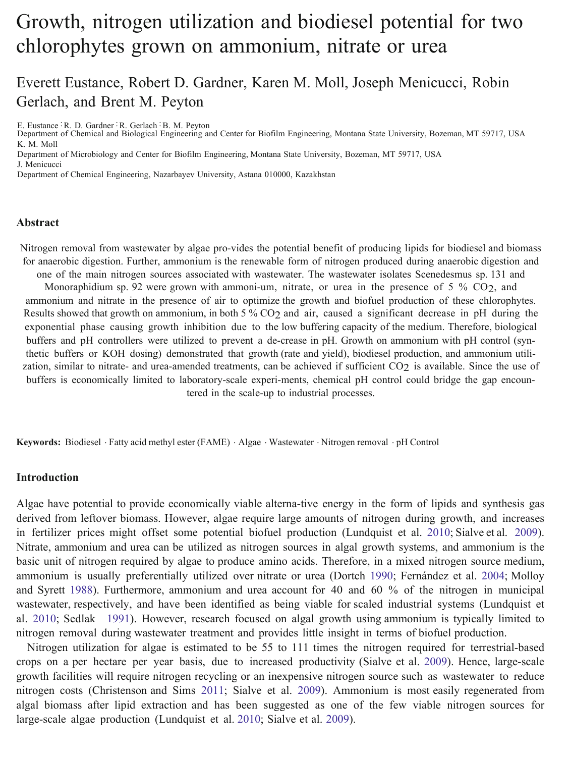## Growth, nitrogen utilization and biodiesel potential for two chlorophytes grown on ammonium, nitrate or urea

## Everett Eustance, Robert D. Gardner, Karen M. Moll, Joseph Menicucci, Robin Gerlach, and Brent M. Peyton

E. Eustance : R. D. Gardner : R. Gerlach : B. M. Peyton

Department of Chemical and Biological Engineering and Center for Biofilm Engineering, Montana State University, Bozeman, MT 59717, USA K. M. Moll

Department of Microbiology and Center for Biofilm Engineering, Montana State University, Bozeman, MT 59717, USA

J. Menicucci

Department of Chemical Engineering, Nazarbayev University, Astana 010000, Kazakhstan

## **Abstract**

Nitrogen removal from wastewater by algae pro-vides the potential benefit of producing lipids for biodiesel and biomass for anaerobic digestion. Further, ammonium is the renewable form of nitrogen produced during anaerobic digestion and one of the main nitrogen sources associated with wastewater. The wastewater isolates Scenedesmus sp. 131 and Monoraphidium sp. 92 were grown with ammoni-um, nitrate, or urea in the presence of 5 % CO<sub>2</sub>, and ammonium and nitrate in the presence of air to optimize the growth and biofuel production of these chlorophytes. Results showed that growth on ammonium, in both 5 % CO<sub>2</sub> and air, caused a significant decrease in pH during the exponential phase causing growth inhibition due to the low buffering capacity of the medium. Therefore, biological buffers and pH controllers were utilized to prevent a de-crease in pH. Growth on ammonium with pH control (synthetic buffers or KOH dosing) demonstrated that growth (rate and yield), biodiesel production, and ammonium utilization, similar to nitrate- and urea-amended treatments, can be achieved if sufficient CO<sub>2</sub> is available. Since the use of buffers is economically limited to laboratory-scale experi-ments, chemical pH control could bridge the gap encountered in the scale-up to ind[ustria](#page-14-0)l processes[.](#page-15-0)

**Keywords:** Biodiesel . Fatty acid methyl ester (FAME) . Algae . Wastewater . Nitrogen removal . pH Control

## **Introduction**

Algae have potential to provide economically viable alterna-tive energy in the form of lipids a[nd sy](#page-14-0)nthesis gas derived from leftover biomass. However, algae require lar[ge am](#page-15-0)ounts of nitrogen during growth, and increases in fertilizer prices might offset some potential biofuel production (Lundquist et al. 2010; Sialve et al. 2009). Nitrate, ammonium and urea can be utilized as nitrogen sources in algal growth systems, and ammonium is the basic unit of nitrogen required by algae to produce amino acids. Therefore, in a mixed nitrogen source medium, ammonium is usually preferentially utilized over nitrate or urea (Dortch 1990; Fernández et al. 2004; Molloy and Syrett 1988). Furthermore, ammonium and urea account for 4[0 and](#page-15-0) 60 % of the nitrogen in municipal wastewater, respectively, and have been identified as being viable for scaled industrial systems (Lundquist et al. 2010; Sedlak 1991). However, research focused on algal growth using ammonium is typically limited to nitrogen removal during wastewater treatment and provides little i[nsigh](#page-14-0)t in terms o[f bio](#page-15-0)fuel production.

Nitrogen utilization for algae is estimated to be 55 to 111 times the nitrogen required for terrestrial-based crops on a per hectare per year basis, due to increased productivity (Sialve et al. 2009). Hence, large-scale growth facilities will require nitrogen recycling or an inex[pensi](#page-14-0)ve nitrogen [sour](#page-15-0)ce such as wastewater to reduce nitrogen costs (Christenson and Sims 2011; Sialve et al. 2009). Ammonium is most easily regenerated from algal biomass after lipid extraction and has been suggested as one of the few viable nitrogen sources for large-scale algae production (Lundquist et al. 2010; Sialve et al. 2009).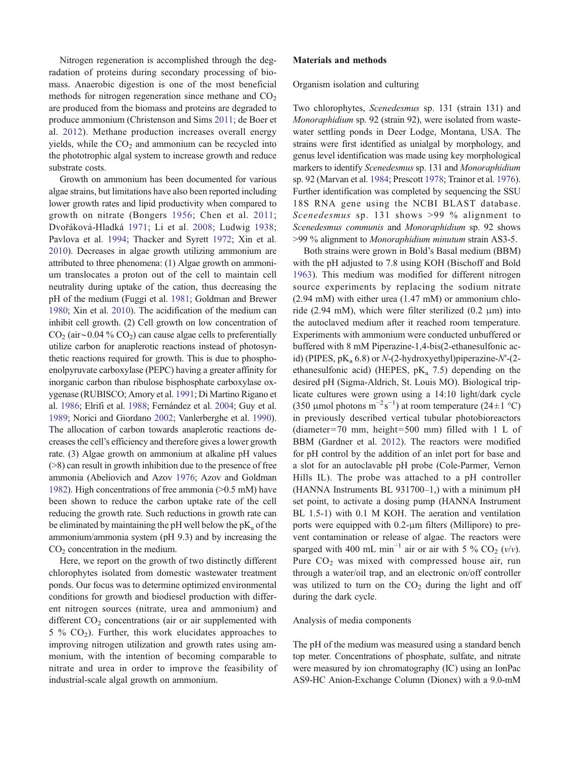Nitrogen regeneration is accomplished through the degradation of proteins during secondary processing of biomass. Anaerobic digestion is one of the most beneficial methods for nitrogen regeneration since methane and  $CO<sub>2</sub>$ are produced from the biomass and proteins are degraded to produce ammonium (Christenson and Sims [2011;](#page-14-0) de Boer et al. [2012](#page-14-0)). Methane production increases overall energy yields, while the  $CO<sub>2</sub>$  and ammonium can be recycled into the phototrophic algal system to increase growth and reduce substrate costs.

Growth on ammonium has been documented for various algae strains, but limitations have also been reported including lower growth rates and lipid productivity when compared to growth on nitrate (Bongers [1956](#page-14-0); Chen et al. [2011](#page-14-0); Dvořáková-Hladká [1971;](#page-14-0) Li et al. [2008](#page-14-0); Ludwig [1938](#page-14-0); Pavlova et al. [1994](#page-15-0); Thacker and Syrett [1972](#page-15-0); Xin et al. [2010\)](#page-15-0). Decreases in algae growth utilizing ammonium are attributed to three phenomena: (1) Algae growth on ammonium translocates a proton out of the cell to maintain cell neutrality during uptake of the cation, thus decreasing the pH of the medium (Fuggi et al. [1981](#page-14-0); Goldman and Brewer [1980;](#page-14-0) Xin et al. [2010](#page-15-0)). The acidification of the medium can inhibit cell growth. (2) Cell growth on low concentration of  $CO<sub>2</sub>$  (air∼0.04 %  $CO<sub>2</sub>$ ) can cause algae cells to preferentially utilize carbon for anaplerotic reactions instead of photosynthetic reactions required for growth. This is due to phosphoenolpyruvate carboxylase (PEPC) having a greater affinity for inorganic carbon than ribulose bisphosphate carboxylase oxygenase (RUBISCO; Amory et al. [1991](#page-14-0); Di Martino Rigano et al. [1986;](#page-14-0) Elrifi et al. [1988](#page-14-0); Fernández et al. [2004](#page-14-0); Guy et al. [1989;](#page-14-0) Norici and Giordano [2002;](#page-15-0) Vanlerberghe et al. [1990\)](#page-15-0). The allocation of carbon towards anaplerotic reactions decreases the cell's efficiency and therefore gives a lower growth rate. (3) Algae growth on ammonium at alkaline pH values (>8) can result in growth inhibition due to the presence of free ammonia (Abeliovich and Azov [1976](#page-14-0); Azov and Goldman [1982\)](#page-14-0). High concentrations of free ammonia (>0.5 mM) have been shown to reduce the carbon uptake rate of the cell reducing the growth rate. Such reductions in growth rate can be eliminated by maintaining the pH well below the  $pK_a$  of the ammonium/ammonia system (pH 9.3) and by increasing the  $CO<sub>2</sub>$  concentration in the medium.

Here, we report on the growth of two distinctly different chlorophytes isolated from domestic wastewater treatment ponds. Our focus was to determine optimized environmental conditions for growth and biodiesel production with different nitrogen sources (nitrate, urea and ammonium) and different  $CO<sub>2</sub>$  concentrations (air or air supplemented with  $5\%$  CO<sub>2</sub>). Further, this work elucidates approaches to improving nitrogen utilization and growth rates using ammonium, with the intention of becoming comparable to nitrate and urea in order to improve the feasibility of industrial-scale algal growth on ammonium.

#### Materials and methods

Organism isolation and culturing

Two chlorophytes, Scenedesmus sp. 131 (strain 131) and Monoraphidium sp. 92 (strain 92), were isolated from wastewater settling ponds in Deer Lodge, Montana, USA. The strains were first identified as unialgal by morphology, and genus level identification was made using key morphological markers to identify Scenedesmus sp. 131 and Monoraphidium sp. 92 (Marvan et al. [1984](#page-15-0); Prescott [1978;](#page-15-0) Trainor et al. [1976\)](#page-15-0). Further identification was completed by sequencing the SSU 18S RNA gene using the NCBI BLAST database. Scenedesmus sp. 131 shows >99 % alignment to Scenedesmus communis and Monoraphidium sp. 92 shows >99 % alignment to Monoraphidium minutum strain AS3-5.

Both strains were grown in Bold's Basal medium (BBM) with the pH adjusted to 7.8 using KOH (Bischoff and Bold [1963](#page-14-0)). This medium was modified for different nitrogen source experiments by replacing the sodium nitrate (2.94 mM) with either urea (1.47 mM) or ammonium chloride (2.94 mM), which were filter sterilized (0.2  $\mu$ m) into the autoclaved medium after it reached room temperature. Experiments with ammonium were conducted unbuffered or buffered with 8 mM Piperazine-1,4-bis(2-ethanesulfonic acid) (PIPES,  $pK_a$  6.8) or N-(2-hydroxyethyl)piperazine-N'-(2ethanesulfonic acid) (HEPES,  $pK_a$  7.5) depending on the desired pH (Sigma-Aldrich, St. Louis MO). Biological triplicate cultures were grown using a 14:10 light/dark cycle (350 µmol photons m<sup>-2</sup>s<sup>-1</sup>) at room temperature (24±1 °C) in previously described vertical tubular photobioreactors (diameter=70 mm, height=500 mm) filled with 1 L of BBM (Gardner et al. [2012\)](#page-14-0). The reactors were modified for pH control by the addition of an inlet port for base and a slot for an autoclavable pH probe (Cole-Parmer, Vernon Hills IL). The probe was attached to a pH controller (HANNA Instruments BL 931700–1,) with a minimum pH set point, to activate a dosing pump (HANNA Instrument BL 1.5-1) with 0.1 M KOH. The aeration and ventilation ports were equipped with 0.2-μm filters (Millipore) to prevent contamination or release of algae. The reactors were sparged with 400 mL min<sup>-1</sup> air or air with 5 % CO<sub>2</sub> (v/v). Pure  $CO<sub>2</sub>$  was mixed with compressed house air, run through a water/oil trap, and an electronic on/off controller was utilized to turn on the  $CO<sub>2</sub>$  during the light and off during the dark cycle.

## Analysis of media components

The pH of the medium was measured using a standard bench top meter. Concentrations of phosphate, sulfate, and nitrate were measured by ion chromatography (IC) using an IonPac AS9-HC Anion-Exchange Column (Dionex) with a 9.0-mM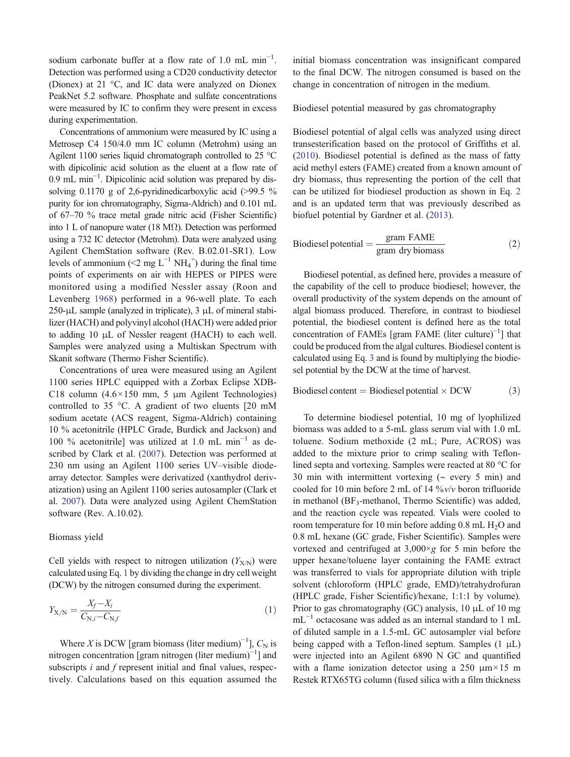<span id="page-3-0"></span>sodium carbonate buffer at a flow rate of 1.0 mL min<sup>-1</sup>. Detection was performed using a CD20 conductivity detector (Dionex) at 21 °C, and IC data were analyzed on Dionex PeakNet 5.2 software. Phosphate and sulfate concentrations were measured by IC to confirm they were present in excess during experimentation.

Concentrations of ammonium were measured by IC using a Metrosep C4 150/4.0 mm IC column (Metrohm) using an Agilent 1100 series liquid chromatograph controlled to 25 °C with dipicolinic acid solution as the eluent at a flow rate of 0.9 mL min−<sup>1</sup> . Dipicolinic acid solution was prepared by dissolving 0.1170 g of 2,6-pyridinedicarboxylic acid (>99.5 %) purity for ion chromatography, Sigma-Aldrich) and 0.101 mL of 67–70 % trace metal grade nitric acid (Fisher Scientific) into 1 L of nanopure water (18 MΩ). Detection was performed using a 732 IC detector (Metrohm). Data were analyzed using Agilent ChemStation software (Rev. B.02.01-SR1). Low levels of ammonium (<2 mg  $L^{-1}$  NH<sub>4</sub><sup>+</sup>) during the final time points of experiments on air with HEPES or PIPES were monitored using a modified Nessler assay (Roon and Levenberg [1968\)](#page-15-0) performed in a 96-well plate. To each 250-μL sample (analyzed in triplicate),  $3 \mu$ L of mineral stabilizer (HACH) and polyvinyl alcohol (HACH) were added prior to adding 10 μL of Nessler reagent (HACH) to each well. Samples were analyzed using a Multiskan Spectrum with Skanit software (Thermo Fisher Scientific).

Concentrations of urea were measured using an Agilent 1100 series HPLC equipped with a Zorbax Eclipse XDB-C18 column  $(4.6 \times 150 \text{ mm}, 5 \text{ }\mu\text{m}$  Agilent Technologies) controlled to 35 °C. A gradient of two eluents [20 mM sodium acetate (ACS reagent, Sigma-Aldrich) containing 10 % acetonitrile (HPLC Grade, Burdick and Jackson) and 100 % acetonitrile] was utilized at 1.0 mL min−<sup>1</sup> as described by Clark et al. [\(2007](#page-14-0)). Detection was performed at 230 nm using an Agilent 1100 series UV–visible diodearray detector. Samples were derivatized (xanthydrol derivatization) using an Agilent 1100 series autosampler (Clark et al. [2007](#page-14-0)). Data were analyzed using Agilent ChemStation software (Rev. A.10.02).

## Biomass yield

Cell yields with respect to nitrogen utilization  $(Y_{X/N})$  were calculated using Eq. 1 by dividing the change in dry cell weight (DCW) by the nitrogen consumed during the experiment.

$$
Y_{X/N} = \frac{X_f - X_i}{C_{N,i} - C_{N,f}}\tag{1}
$$

Where X is DCW [gram biomass (liter medium)<sup>-1</sup>],  $C_N$  is nitrogen concentration [gram nitrogen (liter medium)<sup>-1</sup>] and subscripts  $i$  and  $f$  represent initial and final values, respectively. Calculations based on this equation assumed the initial biomass concentration was insignificant compared to the final DCW. The nitrogen consumed is based on the change in concentration of nitrogen in the medium.

Biodiesel potential measured by gas chromatography

Biodiesel potential of algal cells was analyzed using direct transesterification based on the protocol of Griffiths et al. [\(2010](#page-14-0)). Biodiesel potential is defined as the mass of fatty acid methyl esters (FAME) created from a known amount of dry biomass, thus representing the portion of the cell that can be utilized for biodiesel production as shown in Eq. 2 and is an updated term that was previously described as biofuel potential by Gardner et al. ([2013\)](#page-14-0).

Biodiesel potential = 
$$
\frac{\text{gram FAME}}{\text{gram dry biomass}}
$$
 (2)

Biodiesel potential, as defined here, provides a measure of the capability of the cell to produce biodiesel; however, the overall productivity of the system depends on the amount of algal biomass produced. Therefore, in contrast to biodiesel potential, the biodiesel content is defined here as the total concentration of FAMEs [gram FAME (liter culture)−<sup>1</sup> ] that could be produced from the algal cultures. Biodiesel content is calculated using Eq. 3 and is found by multiplying the biodiesel potential by the DCW at the time of harvest.

Biodiesel content = Biodiesel potential  $\times$  DCW  $(3)$ 

To determine biodiesel potential, 10 mg of lyophilized biomass was added to a 5-mL glass serum vial with 1.0 mL toluene. Sodium methoxide (2 mL; Pure, ACROS) was added to the mixture prior to crimp sealing with Teflonlined septa and vortexing. Samples were reacted at 80 °C for 30 min with intermittent vortexing (∼ every 5 min) and cooled for 10 min before 2 mL of 14  $\frac{6}{v}v/v$  boron trifluoride in methanol ( $BF_3$ -methanol, Thermo Scientific) was added, and the reaction cycle was repeated. Vials were cooled to room temperature for 10 min before adding  $0.8$  mL  $H<sub>2</sub>O$  and 0.8 mL hexane (GC grade, Fisher Scientific). Samples were vortexed and centrifuged at  $3,000 \times g$  for 5 min before the upper hexane/toluene layer containing the FAME extract was transferred to vials for appropriate dilution with triple solvent (chloroform (HPLC grade, EMD)/tetrahydrofuran (HPLC grade, Fisher Scientific)/hexane, 1:1:1 by volume). Prior to gas chromatography (GC) analysis, 10 μL of 10 mg mL−<sup>1</sup> octacosane was added as an internal standard to 1 mL of diluted sample in a 1.5-mL GC autosampler vial before being capped with a Teflon-lined septum. Samples  $(1 \mu L)$ were injected into an Agilent 6890 N GC and quantified with a flame ionization detector using a 250  $\mu$ m × 15 m Restek RTX65TG column (fused silica with a film thickness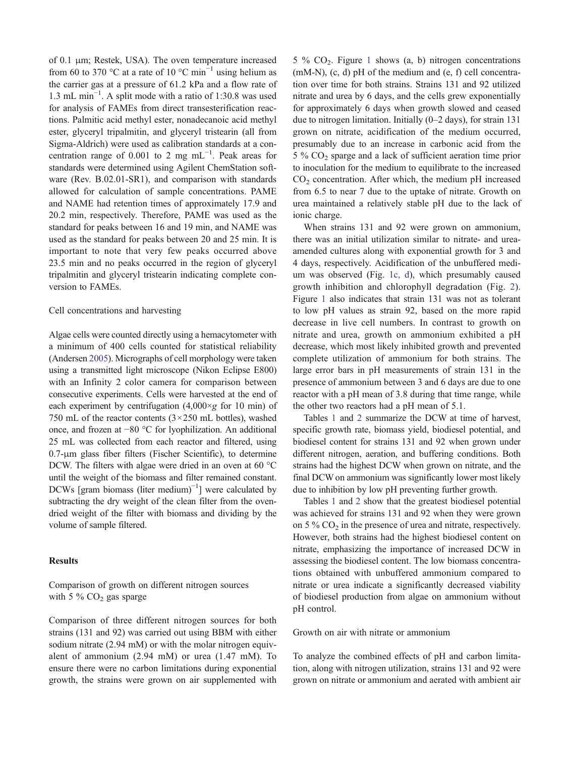of 0.1 μm; Restek, USA). The oven temperature increased from 60 to 370 °C at a rate of 10 °C min<sup>-1</sup> using helium as the carrier gas at a pressure of 61.2 kPa and a flow rate of 1.3 mL min−<sup>1</sup> . A split mode with a ratio of 1:30.8 was used for analysis of FAMEs from direct transesterification reactions. Palmitic acid methyl ester, nonadecanoic acid methyl ester, glyceryl tripalmitin, and glyceryl tristearin (all from Sigma-Aldrich) were used as calibration standards at a concentration range of 0.001 to 2 mg mL<sup>-1</sup>. Peak areas for standards were determined using Agilent ChemStation software (Rev. B.02.01-SR1), and comparison with standards allowed for calculation of sample concentrations. PAME and NAME had retention times of approximately 17.9 and 20.2 min, respectively. Therefore, PAME was used as the standard for peaks between 16 and 19 min, and NAME was used as the standard for peaks between 20 and 25 min. It is important to note that very few peaks occurred above 23.5 min and no peaks occurred in the region of glyceryl tripalmitin and glyceryl tristearin indicating complete conversion to FAMEs.

## Cell concentrations and harvesting

Algae cells were counted directly using a hemacytometer with a minimum of 400 cells counted for statistical reliability (Andersen [2005\)](#page-14-0). Micrographs of cell morphology were taken using a transmitted light microscope (Nikon Eclipse E800) with an Infinity 2 color camera for comparison between consecutive experiments. Cells were harvested at the end of each experiment by centrifugation  $(4,000 \times g$  for 10 min) of 750 mL of the reactor contents  $(3 \times 250$  mL bottles), washed once, and frozen at −80 °C for lyophilization. An additional 25 mL was collected from each reactor and filtered, using 0.7-μm glass fiber filters (Fischer Scientific), to determine DCW. The filters with algae were dried in an oven at 60 °C until the weight of the biomass and filter remained constant. DCWs [gram biomass (liter medium)<sup>-1</sup>] were calculated by subtracting the dry weight of the clean filter from the ovendried weight of the filter with biomass and dividing by the volume of sample filtered.

## Results

## Comparison of growth on different nitrogen sources with 5  $% CO<sub>2</sub>$  gas sparge

Comparison of three different nitrogen sources for both strains (131 and 92) was carried out using BBM with either sodium nitrate (2.94 mM) or with the molar nitrogen equivalent of ammonium (2.94 mM) or urea (1.47 mM). To ensure there were no carbon limitations during exponential growth, the strains were grown on air supplemented with

5 %  $CO<sub>2</sub>$ . Figure [1](#page-5-0) shows (a, b) nitrogen concentrations (mM-N), (c, d) pH of the medium and (e, f) cell concentration over time for both strains. Strains 131 and 92 utilized nitrate and urea by 6 days, and the cells grew exponentially for approximately 6 days when growth slowed and ceased due to nitrogen limitation. Initially (0–2 days), for strain 131 grown on nitrate, acidification of the medium occurred, presumably due to an increase in carbonic acid from the  $5\%$  CO<sub>2</sub> sparge and a lack of sufficient aeration time prior to inoculation for the medium to equilibrate to the increased  $CO<sub>2</sub>$  concentration. After which, the medium pH increased from 6.5 to near 7 due to the uptake of nitrate. Growth on urea maintained a relatively stable pH due to the lack of ionic charge.

When strains 131 and 92 were grown on ammonium, there was an initial utilization similar to nitrate- and ureaamended cultures along with exponential growth for 3 and 4 days, respectively. Acidification of the unbuffered medium was observed (Fig. [1c, d\)](#page-5-0), which presumably caused growth inhibition and chlorophyll degradation (Fig. [2](#page-6-0)). Figure [1](#page-5-0) also indicates that strain 131 was not as tolerant to low pH values as strain 92, based on the more rapid decrease in live cell numbers. In contrast to growth on nitrate and urea, growth on ammonium exhibited a pH decrease, which most likely inhibited growth and prevented complete utilization of ammonium for both strains. The large error bars in pH measurements of strain 131 in the presence of ammonium between 3 and 6 days are due to one reactor with a pH mean of 3.8 during that time range, while the other two reactors had a pH mean of 5.1.

Tables [1](#page-6-0) and [2](#page-7-0) summarize the DCW at time of harvest, specific growth rate, biomass yield, biodiesel potential, and biodiesel content for strains 131 and 92 when grown under different nitrogen, aeration, and buffering conditions. Both strains had the highest DCW when grown on nitrate, and the final DCW on ammonium was significantly lower most likely due to inhibition by low pH preventing further growth.

Tables [1](#page-6-0) and [2](#page-7-0) show that the greatest biodiesel potential was achieved for strains 131 and 92 when they were grown on 5 %  $CO<sub>2</sub>$  in the presence of urea and nitrate, respectively. However, both strains had the highest biodiesel content on nitrate, emphasizing the importance of increased DCW in assessing the biodiesel content. The low biomass concentrations obtained with unbuffered ammonium compared to nitrate or urea indicate a significantly decreased viability of biodiesel production from algae on ammonium without pH control.

## Growth on air with nitrate or ammonium

To analyze the combined effects of pH and carbon limitation, along with nitrogen utilization, strains 131 and 92 were grown on nitrate or ammonium and aerated with ambient air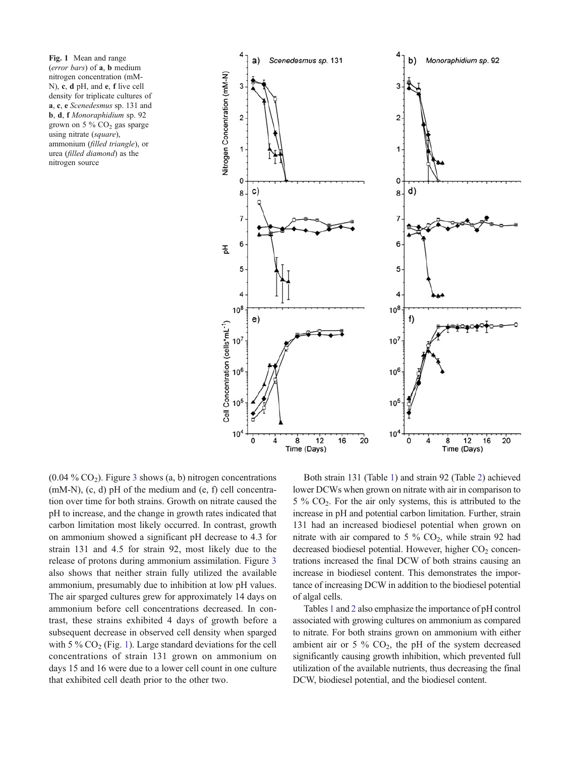<span id="page-5-0"></span>Fig. 1 Mean and range (error bars) of a, b medium nitrogen concentration (mM-N), c, d pH, and e, f live cell density for triplicate cultures of a, c, e Scenedesmus sp. 131 and b, d, f Monoraphidium sp. 92 grown on 5  $\%$  CO<sub>2</sub> gas sparge using nitrate (square), ammonium (filled triangle), or urea (filled diamond) as the nitrogen source



 $(0.04\% \text{ CO}_2)$ . Figure [3](#page-8-0) shows  $(a, b)$  nitrogen concentrations (mM-N), (c, d) pH of the medium and (e, f) cell concentration over time for both strains. Growth on nitrate caused the pH to increase, and the change in growth rates indicated that carbon limitation most likely occurred. In contrast, growth on ammonium showed a significant pH decrease to 4.3 for strain 131 and 4.5 for strain 92, most likely due to the release of protons during ammonium assimilation. Figure [3](#page-8-0) also shows that neither strain fully utilized the available ammonium, presumably due to inhibition at low pH values. The air sparged cultures grew for approximately 14 days on ammonium before cell concentrations decreased. In contrast, these strains exhibited 4 days of growth before a subsequent decrease in observed cell density when sparged with 5 %  $CO<sub>2</sub>$  (Fig. 1). Large standard deviations for the cell concentrations of strain 131 grown on ammonium on days 15 and 16 were due to a lower cell count in one culture that exhibited cell death prior to the other two.

Both strain 131 (Table [1\)](#page-6-0) and strain 92 (Table [2\)](#page-7-0) achieved lower DCWs when grown on nitrate with air in comparison to  $5\%$  CO<sub>2</sub>. For the air only systems, this is attributed to the increase in pH and potential carbon limitation. Further, strain 131 had an increased biodiesel potential when grown on nitrate with air compared to 5 %  $CO<sub>2</sub>$ , while strain 92 had decreased biodiesel potential. However, higher  $CO<sub>2</sub>$  concentrations increased the final DCW of both strains causing an increase in biodiesel content. This demonstrates the importance of increasing DCW in addition to the biodiesel potential of algal cells.

Tables [1](#page-6-0) and [2](#page-7-0) also emphasize the importance of pH control associated with growing cultures on ammonium as compared to nitrate. For both strains grown on ammonium with either ambient air or 5 %  $CO<sub>2</sub>$ , the pH of the system decreased significantly causing growth inhibition, which prevented full utilization of the available nutrients, thus decreasing the final DCW, biodiesel potential, and the biodiesel content.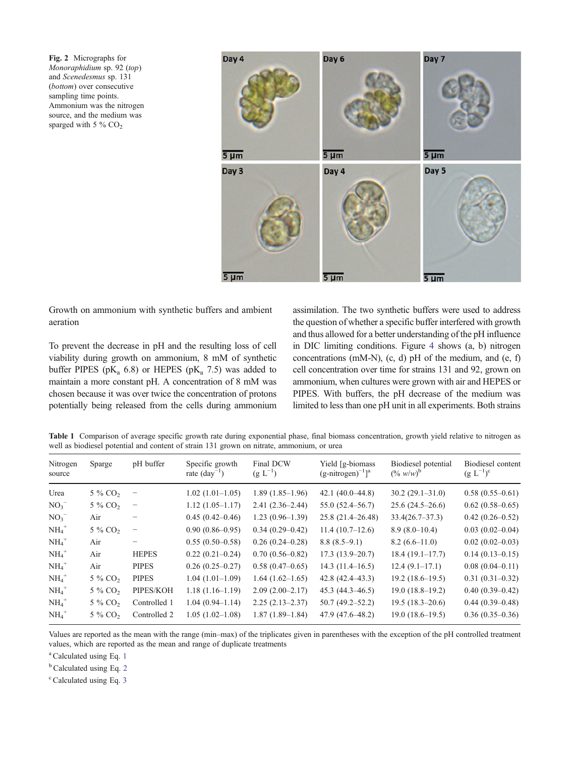<span id="page-6-0"></span>Fig. 2 Micrographs for Monoraphidium sp. 92 (top) and Scenedesmus sp. 131 (bottom) over consecutive sampling time points. Ammonium was the nitrogen source, and the medium was sparged with 5 %  $CO<sub>2</sub>$ 



Growth on ammonium with synthetic buffers and ambient aeration

To prevent the decrease in pH and the resulting loss of cell viability during growth on ammonium, 8 mM of synthetic buffer PIPES ( $pK_a$  6.8) or HEPES ( $pK_a$  7.5) was added to maintain a more constant pH. A concentration of 8 mM was chosen because it was over twice the concentration of protons potentially being released from the cells during ammonium assimilation. The two synthetic buffers were used to address the question of whether a specific buffer interfered with growth and thus allowed for a better understanding of the pH influence in DIC limiting conditions. Figure [4](#page-9-0) shows (a, b) nitrogen concentrations (mM-N), (c, d) pH of the medium, and (e, f) cell concentration over time for strains 131 and 92, grown on ammonium, when cultures were grown with air and HEPES or PIPES. With buffers, the pH decrease of the medium was limited to less than one pH unit in all experiments. Both strains

Table 1 Comparison of average specific growth rate during exponential phase, final biomass concentration, growth yield relative to nitrogen as well as biodiesel potential and content of strain 131 grown on nitrate, ammonium, or urea

| Nitrogen<br>source  | Sparge                | pH buffer         | Specific growth<br>rate $\text{(day}^{-1})$ | Final DCW<br>$(g L^{-1})$ | Yield [g-biomass]<br>$(g\text{-nitrogen})^{-1}]^a$ | Biodiesel potential<br>$({\frac{9}{20} w/w})^b$ | Biodiesel content<br>$(g L^{-1})^c$ |
|---------------------|-----------------------|-------------------|---------------------------------------------|---------------------------|----------------------------------------------------|-------------------------------------------------|-------------------------------------|
| Urea                | 5 % CO <sub>2</sub>   | $\qquad \qquad -$ | $1.02(1.01-1.05)$                           | $1.89(1.85-1.96)$         | $42.1(40.0-44.8)$                                  | $30.2(29.1 - 31.0)$                             | $0.58(0.55-0.61)$                   |
| NO <sub>3</sub>     | $5\%$ CO <sub>2</sub> |                   | $1.12(1.05-1.17)$                           | $2.41(2.36-2.44)$         | $55.0(52.4 - 56.7)$                                | $25.6(24.5-26.6)$                               | $0.62(0.58-0.65)$                   |
| NO <sub>3</sub>     | Air                   |                   | $0.45(0.42 - 0.46)$                         | $1.23(0.96-1.39)$         | $25.8(21.4 - 26.48)$                               | $33.4(26.7 - 37.3)$                             | $0.42(0.26 - 0.52)$                 |
| $NH4+$              | 5 % CO <sub>2</sub>   | $\qquad \qquad -$ | $0.90(0.86 - 0.95)$                         | $0.34(0.29 - 0.42)$       | 11.4(10.7–12.6)                                    | $8.9(8.0-10.4)$                                 | $0.03(0.02-0.04)$                   |
| $NH_4$ <sup>+</sup> | Air                   |                   | $0.55(0.50-0.58)$                           | $0.26(0.24 - 0.28)$       | $8.8(8.5-9.1)$                                     | $8.2(6.6-11.0)$                                 | $0.02(0.02-0.03)$                   |
| $NH_4$ <sup>+</sup> | Air                   | <b>HEPES</b>      | $0.22(0.21 - 0.24)$                         | $0.70(0.56 - 0.82)$       | $17.3(13.9-20.7)$                                  | $18.4(19.1-17.7)$                               | $0.14(0.13-0.15)$                   |
| $NH_4$ <sup>+</sup> | Air                   | <b>PIPES</b>      | $0.26(0.25-0.27)$                           | $0.58(0.47-0.65)$         | $14.3(11.4-16.5)$                                  | $12.4(9.1-17.1)$                                | $0.08(0.04 - 0.11)$                 |
| $NH_4$ <sup>+</sup> | $5\%$ CO <sub>2</sub> | PIPES             | $1.04(1.01-1.09)$                           | $1.64(1.62-1.65)$         | $42.8(42.4 - 43.3)$                                | $19.2(18.6-19.5)$                               | $0.31(0.31-0.32)$                   |
| $NH4+$              | 5 % CO <sub>2</sub>   | PIPES/KOH         | $1.18(1.16-1.19)$                           | $2.09(2.00-2.17)$         | $45.3(44.3 - 46.5)$                                | $19.0(18.8-19.2)$                               | $0.40(0.39 - 0.42)$                 |
| $NH_4$ <sup>+</sup> | $5\%$ CO <sub>2</sub> | Controlled 1      | $1.04(0.94 - 1.14)$                         | $2.25(2.13-2.37)$         | $50.7(49.2 - 52.2)$                                | $19.5(18.3-20.6)$                               | $0.44(0.39-0.48)$                   |
| $NH_4$ <sup>+</sup> | $5\%$ CO <sub>2</sub> | Controlled 2      | $1.05(1.02-1.08)$                           | $1.87(1.89-1.84)$         | $47.9(47.6 - 48.2)$                                | $19.0(18.6-19.5)$                               | $0.36(0.35-0.36)$                   |

Values are reported as the mean with the range (min–max) of the triplicates given in parentheses with the exception of the pH controlled treatment values, which are reported as the mean and range of duplicate treatments

 $a$ Calculated using Eq. [1](#page-3-0)

<sup>b</sup> Calculated using Eq. [2](#page-3-0)

 $\degree$  Calculated using Eq. [3](#page-3-0)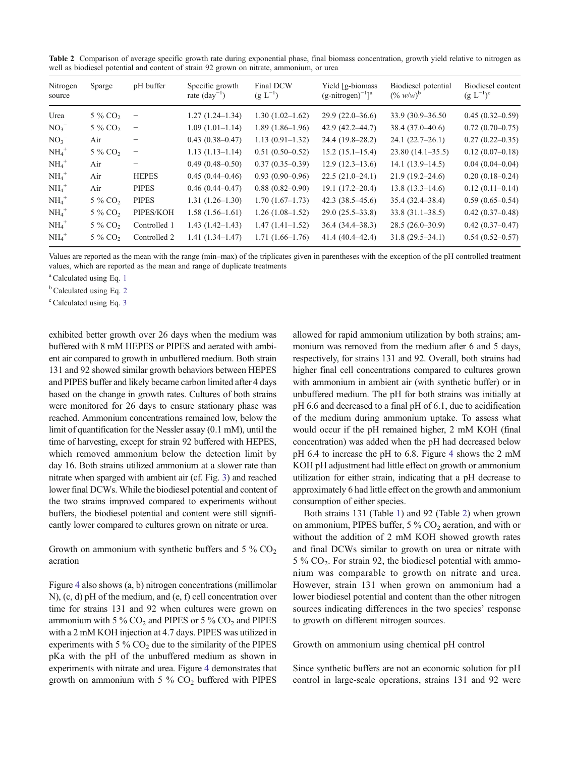<span id="page-7-0"></span>Table 2 Comparison of average specific growth rate during exponential phase, final biomass concentration, growth yield relative to nitrogen as well as biodiesel potential and content of strain 92 grown on nitrate, ammonium, or urea

| Nitrogen<br>source  | Sparge                | pH buffer         | Specific growth<br>rate $\text{(day}^{-1})$ | Final DCW<br>$(g L^{-1})$ | Yield [g-biomass]<br>$(g\text{-nitrogen})^{-1}]^a$ | Biodiesel potential<br>$(\% w/w)^b$ | Biodiesel content<br>$(g L^{-1})^c$ |
|---------------------|-----------------------|-------------------|---------------------------------------------|---------------------------|----------------------------------------------------|-------------------------------------|-------------------------------------|
| Urea                | 5 % CO <sub>2</sub>   | $\qquad \qquad -$ | $1.27(1.24 - 1.34)$                         | $1.30(1.02 - 1.62)$       | $29.9(22.0-36.6)$                                  | 33.9 (30.9–36.50)                   | $0.45(0.32-0.59)$                   |
| NO <sub>3</sub>     | 5 % CO <sub>2</sub>   | $\qquad \qquad -$ | $1.09(1.01-1.14)$                           | $1.89(1.86-1.96)$         | $42.9(42.2 - 44.7)$                                | 38.4 (37.0–40.6)                    | $0.72(0.70-0.75)$                   |
| $NO_3^-$            | Air                   |                   | $0.43(0.38 - 0.47)$                         | $1.13(0.91-1.32)$         | $24.4(19.8-28.2)$                                  | $24.1(22.7-26.1)$                   | $0.27(0.22 - 0.35)$                 |
| $NH_4$ <sup>+</sup> | 5 % CO <sub>2</sub>   | $\qquad \qquad -$ | $1.13(1.13-1.14)$                           | $0.51(0.50-0.52)$         | $15.2(15.1-15.4)$                                  | $23.80(14.1-35.5)$                  | $0.12(0.07-0.18)$                   |
| $NH_4$ <sup>+</sup> | Air                   |                   | $0.49(0.48 - 0.50)$                         | $0.37(0.35-0.39)$         | $12.9(12.3-13.6)$                                  | $14.1(13.9-14.5)$                   | $0.04(0.04-0.04)$                   |
| $NH_4$ <sup>+</sup> | Air                   | <b>HEPES</b>      | $0.45(0.44 - 0.46)$                         | $0.93(0.90-0.96)$         | $22.5(21.0-24.1)$                                  | $21.9(19.2 - 24.6)$                 | $0.20(0.18 - 0.24)$                 |
| $NH_4$ <sup>+</sup> | Air                   | <b>PIPES</b>      | $0.46(0.44 - 0.47)$                         | $0.88(0.82 - 0.90)$       | $19.1(17.2 - 20.4)$                                | $13.8(13.3 - 14.6)$                 | $0.12(0.11-0.14)$                   |
| $NH_4$ <sup>+</sup> | $5\%$ CO <sub>2</sub> | <b>PIPES</b>      | $1.31(1.26-1.30)$                           | $1.70(1.67-1.73)$         | 42.3 $(38.5 - 45.6)$                               | $35.4(32.4 - 38.4)$                 | $0.59(0.65-0.54)$                   |
| $NH_4$ <sup>+</sup> | $5\%$ CO <sub>2</sub> | PIPES/KOH         | $1.58(1.56-1.61)$                           | $1.26(1.08-1.52)$         | $29.0(25.5-33.8)$                                  | $33.8(31.1 - 38.5)$                 | $0.42(0.37-0.48)$                   |
| $NH_4$ <sup>+</sup> | $5\%$ CO <sub>2</sub> | Controlled 1      | $1.43(1.42 - 1.43)$                         | $1.47(1.41-1.52)$         | $36.4(34.4 - 38.3)$                                | $28.5(26.0-30.9)$                   | $0.42(0.37-0.47)$                   |
| $NH4+$              | 5 % CO <sub>2</sub>   | Controlled 2      | $1.41(1.34 - 1.47)$                         | $1.71(1.66-1.76)$         | $41.4(40.4 - 42.4)$                                | $31.8(29.5 - 34.1)$                 | $0.54(0.52 - 0.57)$                 |

Values are reported as the mean with the range (min–max) of the triplicates given in parentheses with the exception of the pH controlled treatment values, which are reported as the mean and range of duplicate treatments

<sup>a</sup> Calculated using Eq. [1](#page-3-0)

 $<sup>b</sup>$ Calculated using Eq. [2](#page-3-0)</sup>

 $\degree$  Calculated using Eq. [3](#page-3-0)

exhibited better growth over 26 days when the medium was buffered with 8 mM HEPES or PIPES and aerated with ambient air compared to growth in unbuffered medium. Both strain 131 and 92 showed similar growth behaviors between HEPES and PIPES buffer and likely became carbon limited after 4 days based on the change in growth rates. Cultures of both strains were monitored for 26 days to ensure stationary phase was reached. Ammonium concentrations remained low, below the limit of quantification for the Nessler assay (0.1 mM), until the time of harvesting, except for strain 92 buffered with HEPES, which removed ammonium below the detection limit by day 16. Both strains utilized ammonium at a slower rate than nitrate when sparged with ambient air (cf. Fig. [3](#page-8-0)) and reached lower final DCWs. While the biodiesel potential and content of the two strains improved compared to experiments without buffers, the biodiesel potential and content were still significantly lower compared to cultures grown on nitrate or urea.

Growth on ammonium with synthetic buffers and  $5\%$  CO<sub>2</sub> aeration

Figure [4](#page-9-0) also shows (a, b) nitrogen concentrations (millimolar N), (c, d) pH of the medium, and (e, f) cell concentration over time for strains 131 and 92 when cultures were grown on ammonium with 5 %  $CO<sub>2</sub>$  and PIPES or 5 %  $CO<sub>2</sub>$  and PIPES with a 2 mM KOH injection at 4.7 days. PIPES was utilized in experiments with 5 %  $CO<sub>2</sub>$  due to the similarity of the PIPES pKa with the pH of the unbuffered medium as shown in experiments with nitrate and urea. Figure [4](#page-9-0) demonstrates that growth on ammonium with  $5\%$  CO<sub>2</sub> buffered with PIPES allowed for rapid ammonium utilization by both strains; ammonium was removed from the medium after 6 and 5 days, respectively, for strains 131 and 92. Overall, both strains had higher final cell concentrations compared to cultures grown with ammonium in ambient air (with synthetic buffer) or in unbuffered medium. The pH for both strains was initially at pH 6.6 and decreased to a final pH of 6.1, due to acidification of the medium during ammonium uptake. To assess what would occur if the pH remained higher, 2 mM KOH (final concentration) was added when the pH had decreased below pH 6.4 to increase the pH to 6.8. Figure [4](#page-9-0) shows the 2 mM KOH pH adjustment had little effect on growth or ammonium utilization for either strain, indicating that a pH decrease to approximately 6 had little effect on the growth and ammonium consumption of either species.

Both strains 131 (Table [1](#page-6-0)) and 92 (Table 2) when grown on ammonium, PIPES buffer,  $5\%$  CO<sub>2</sub> aeration, and with or without the addition of 2 mM KOH showed growth rates and final DCWs similar to growth on urea or nitrate with 5 % CO2. For strain 92, the biodiesel potential with ammonium was comparable to growth on nitrate and urea. However, strain 131 when grown on ammonium had a lower biodiesel potential and content than the other nitrogen sources indicating differences in the two species' response to growth on different nitrogen sources.

Growth on ammonium using chemical pH control

Since synthetic buffers are not an economic solution for pH control in large-scale operations, strains 131 and 92 were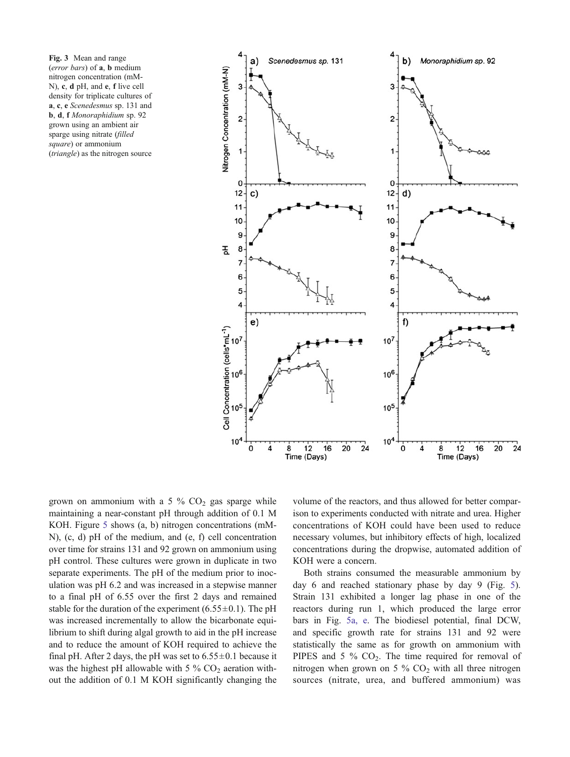<span id="page-8-0"></span>Fig. 3 Mean and range (error bars) of a, b medium nitrogen concentration (mM-N), c, d pH, and e, f live cell density for triplicate cultures of a, c, e Scenedesmus sp. 131 and b, d, f Monoraphidium sp. 92 grown using an ambient air sparge using nitrate (filled square) or ammonium (triangle) as the nitrogen source



grown on ammonium with a 5  $\%$  CO<sub>2</sub> gas sparge while maintaining a near-constant pH through addition of 0.1 M KOH. Figure [5](#page-10-0) shows (a, b) nitrogen concentrations (mM-N), (c, d) pH of the medium, and (e, f) cell concentration over time for strains 131 and 92 grown on ammonium using pH control. These cultures were grown in duplicate in two separate experiments. The pH of the medium prior to inoculation was pH 6.2 and was increased in a stepwise manner to a final pH of 6.55 over the first 2 days and remained stable for the duration of the experiment  $(6.55\pm0.1)$ . The pH was increased incrementally to allow the bicarbonate equilibrium to shift during algal growth to aid in the pH increase and to reduce the amount of KOH required to achieve the final pH. After 2 days, the pH was set to  $6.55 \pm 0.1$  because it was the highest pH allowable with 5 %  $CO<sub>2</sub>$  aeration without the addition of 0.1 M KOH significantly changing the volume of the reactors, and thus allowed for better comparison to experiments conducted with nitrate and urea. Higher concentrations of KOH could have been used to reduce necessary volumes, but inhibitory effects of high, localized concentrations during the dropwise, automated addition of KOH were a concern.

Both strains consumed the measurable ammonium by day 6 and reached stationary phase by day 9 (Fig. [5\)](#page-10-0). Strain 131 exhibited a longer lag phase in one of the reactors during run 1, which produced the large error bars in Fig. [5a, e.](#page-10-0) The biodiesel potential, final DCW, and specific growth rate for strains 131 and 92 were statistically the same as for growth on ammonium with PIPES and 5  $\%$  CO<sub>2</sub>. The time required for removal of nitrogen when grown on 5 %  $CO<sub>2</sub>$  with all three nitrogen sources (nitrate, urea, and buffered ammonium) was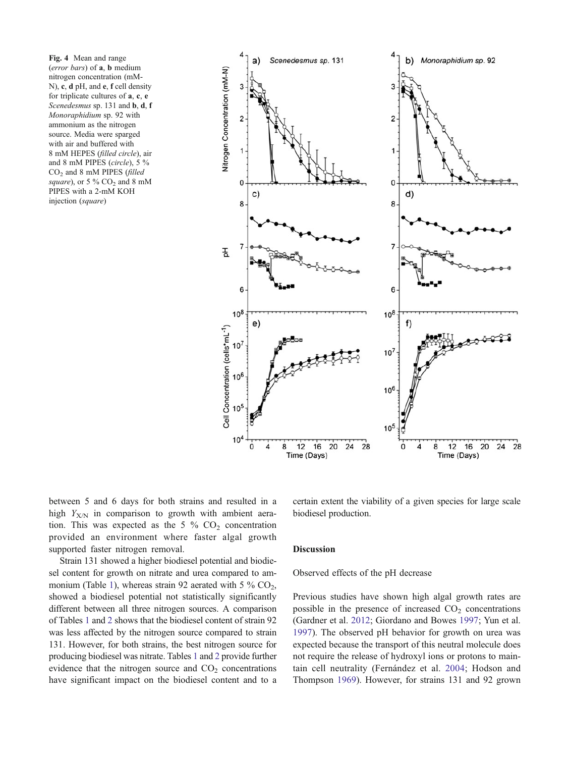<span id="page-9-0"></span>Fig. 4 Mean and range (error bars) of a, b medium nitrogen concentration (mM-N), c, d pH, and e, f cell density for triplicate cultures of a, c, e Scenedesmus sp. 131 and **b**, **d**, **f** Monoraphidium sp. 92 with ammonium as the nitrogen source. Media were sparged with air and buffered with 8 mM HEPES (filled circle), air and 8 mM PIPES (circle), 5 % CO2 and 8 mM PIPES (filled square), or 5 %  $CO<sub>2</sub>$  and 8 mM PIPES with a 2-mM KOH injection (square)



between 5 and 6 days for both strains and resulted in a high  $Y_{X/N}$  in comparison to growth with ambient aeration. This was expected as the 5  $\%$  CO<sub>2</sub> concentration provided an environment where faster algal growth supported faster nitrogen removal.

Strain 131 showed a higher biodiesel potential and biodiesel content for growth on nitrate and urea compared to am-monium (Table [1\)](#page-6-0), whereas strain 92 aerated with 5  $\%$  CO<sub>2</sub>, showed a biodiesel potential not statistically significantly different between all three nitrogen sources. A comparison of Tables [1](#page-6-0) and [2](#page-7-0) shows that the biodiesel content of strain 92 was less affected by the nitrogen source compared to strain 131. However, for both strains, the best nitrogen source for producing biodiesel was nitrate. Tables [1](#page-6-0) and [2](#page-7-0) provide further evidence that the nitrogen source and  $CO<sub>2</sub>$  concentrations have significant impact on the biodiesel content and to a certain extent the viability of a given species for large scale biodiesel production.

#### **Discussion**

## Observed effects of the pH decrease

Previous studies have shown high algal growth rates are possible in the presence of increased  $CO<sub>2</sub>$  concentrations (Gardner et al. [2012;](#page-14-0) Giordano and Bowes [1997](#page-14-0); Yun et al. [1997](#page-15-0)). The observed pH behavior for growth on urea was expected because the transport of this neutral molecule does not require the release of hydroxyl ions or protons to maintain cell neutrality (Fernández et al. [2004;](#page-14-0) Hodson and Thompson [1969](#page-14-0)). However, for strains 131 and 92 grown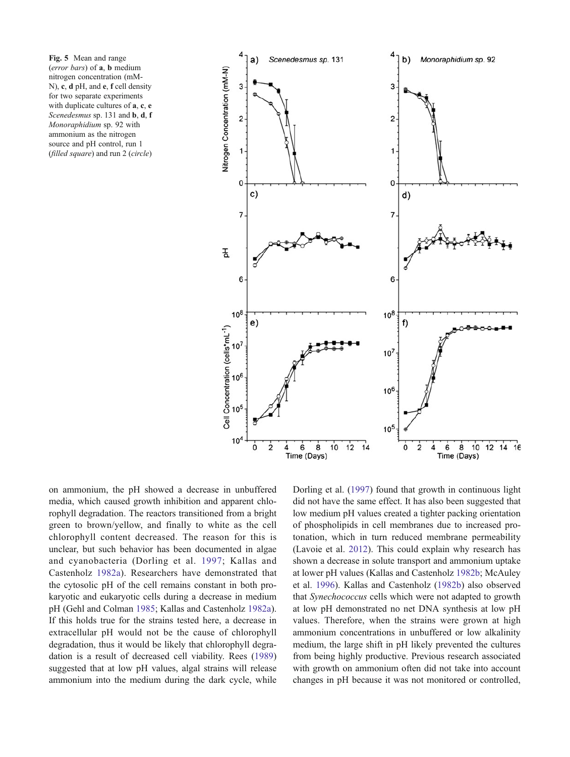<span id="page-10-0"></span>Fig. 5 Mean and range (error bars) of a, b medium nitrogen concentration (mM-N), c, d pH, and e, f cell density for two separate experiments with duplicate cultures of **a**, **c**, **e** Scenedesmus sp. 131 and b, d, f Monoraphidium sp. 92 with ammonium as the nitrogen source and pH control, run 1 (filled square) and run 2 (circle)



on ammonium, the pH showed a decrease in unbuffered media, which caused growth inhibition and apparent chlorophyll degradation. The reactors transitioned from a bright green to brown/yellow, and finally to white as the cell chlorophyll content decreased. The reason for this is unclear, but such behavior has been documented in algae and cyanobacteria (Dorling et al. [1997](#page-14-0); Kallas and Castenholz [1982a](#page-14-0)). Researchers have demonstrated that the cytosolic pH of the cell remains constant in both prokaryotic and eukaryotic cells during a decrease in medium pH (Gehl and Colman [1985](#page-14-0); Kallas and Castenholz [1982a](#page-14-0)). If this holds true for the strains tested here, a decrease in extracellular pH would not be the cause of chlorophyll degradation, thus it would be likely that chlorophyll degradation is a result of decreased cell viability. Rees ([1989\)](#page-15-0) suggested that at low pH values, algal strains will release ammonium into the medium during the dark cycle, while Dorling et al. [\(1997](#page-14-0)) found that growth in continuous light did not have the same effect. It has also been suggested that low medium pH values created a tighter packing orientation of phospholipids in cell membranes due to increased protonation, which in turn reduced membrane permeability (Lavoie et al. [2012](#page-14-0)). This could explain why research has shown a decrease in solute transport and ammonium uptake at lower pH values (Kallas and Castenholz [1982b;](#page-14-0) McAuley et al. [1996](#page-15-0)). Kallas and Castenholz [\(1982b](#page-14-0)) also observed that Synechococcus cells which were not adapted to growth at low pH demonstrated no net DNA synthesis at low pH values. Therefore, when the strains were grown at high ammonium concentrations in unbuffered or low alkalinity medium, the large shift in pH likely prevented the cultures from being highly productive. Previous research associated with growth on ammonium often did not take into account changes in pH because it was not monitored or controlled,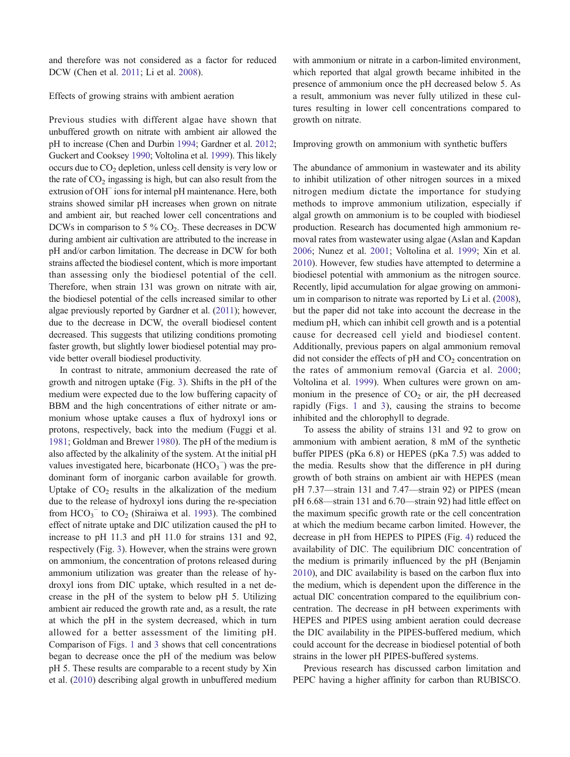and therefore was not considered as a factor for reduced DCW (Chen et al. [2011;](#page-14-0) Li et al. [2008\)](#page-14-0).

## Effects of growing strains with ambient aeration

Previous studies with different algae have shown that unbuffered growth on nitrate with ambient air allowed the pH to increase (Chen and Durbin [1994;](#page-14-0) Gardner et al. [2012](#page-14-0); Guckert and Cooksey [1990;](#page-14-0) Voltolina et al. [1999\)](#page-15-0). This likely occurs due to  $CO<sub>2</sub>$  depletion, unless cell density is very low or the rate of  $CO<sub>2</sub>$  ingassing is high, but can also result from the extrusion of OH<sup>−</sup> ions for internal pH maintenance. Here, both strains showed similar pH increases when grown on nitrate and ambient air, but reached lower cell concentrations and DCWs in comparison to 5  $\%$  CO<sub>2</sub>. These decreases in DCW during ambient air cultivation are attributed to the increase in pH and/or carbon limitation. The decrease in DCW for both strains affected the biodiesel content, which is more important than assessing only the biodiesel potential of the cell. Therefore, when strain 131 was grown on nitrate with air, the biodiesel potential of the cells increased similar to other algae previously reported by Gardner et al. ([2011\)](#page-14-0); however, due to the decrease in DCW, the overall biodiesel content decreased. This suggests that utilizing conditions promoting faster growth, but slightly lower biodiesel potential may provide better overall biodiesel productivity.

In contrast to nitrate, ammonium decreased the rate of growth and nitrogen uptake (Fig. [3](#page-8-0)). Shifts in the pH of the medium were expected due to the low buffering capacity of BBM and the high concentrations of either nitrate or ammonium whose uptake causes a flux of hydroxyl ions or protons, respectively, back into the medium (Fuggi et al. [1981;](#page-14-0) Goldman and Brewer [1980](#page-14-0)). The pH of the medium is also affected by the alkalinity of the system. At the initial pH values investigated here, bicarbonate  $(HCO<sub>3</sub><sup>-</sup>)$  was the predominant form of inorganic carbon available for growth. Uptake of  $CO<sub>2</sub>$  results in the alkalization of the medium due to the release of hydroxyl ions during the re-speciation from  $HCO_3^-$  to  $CO_2$  (Shiraiwa et al. [1993](#page-15-0)). The combined effect of nitrate uptake and DIC utilization caused the pH to increase to pH 11.3 and pH 11.0 for strains 131 and 92, respectively (Fig. [3](#page-8-0)). However, when the strains were grown on ammonium, the concentration of protons released during ammonium utilization was greater than the release of hydroxyl ions from DIC uptake, which resulted in a net decrease in the pH of the system to below pH 5. Utilizing ambient air reduced the growth rate and, as a result, the rate at which the pH in the system decreased, which in turn allowed for a better assessment of the limiting pH. Comparison of Figs. [1](#page-5-0) and [3](#page-8-0) shows that cell concentrations began to decrease once the pH of the medium was below pH 5. These results are comparable to a recent study by Xin et al. ([2010\)](#page-15-0) describing algal growth in unbuffered medium

with ammonium or nitrate in a carbon-limited environment. which reported that algal growth became inhibited in the presence of ammonium once the pH decreased below 5. As a result, ammonium was never fully utilized in these cultures resulting in lower cell concentrations compared to growth on nitrate.

Improving growth on ammonium with synthetic buffers

The abundance of ammonium in wastewater and its ability to inhibit utilization of other nitrogen sources in a mixed nitrogen medium dictate the importance for studying methods to improve ammonium utilization, especially if algal growth on ammonium is to be coupled with biodiesel production. Research has documented high ammonium removal rates from wastewater using algae (Aslan and Kapdan [2006](#page-14-0); Nunez et al. [2001](#page-15-0); Voltolina et al. [1999](#page-15-0); Xin et al. [2010](#page-15-0)). However, few studies have attempted to determine a biodiesel potential with ammonium as the nitrogen source. Recently, lipid accumulation for algae growing on ammonium in comparison to nitrate was reported by Li et al. ([2008\)](#page-14-0), but the paper did not take into account the decrease in the medium pH, which can inhibit cell growth and is a potential cause for decreased cell yield and biodiesel content. Additionally, previous papers on algal ammonium removal did not consider the effects of  $pH$  and  $CO<sub>2</sub>$  concentration on the rates of ammonium removal (Garcia et al. [2000;](#page-14-0) Voltolina et al. [1999\)](#page-15-0). When cultures were grown on ammonium in the presence of  $CO<sub>2</sub>$  or air, the pH decreased rapidly (Figs. [1](#page-5-0) and [3](#page-8-0)), causing the strains to become inhibited and the chlorophyll to degrade.

To assess the ability of strains 131 and 92 to grow on ammonium with ambient aeration, 8 mM of the synthetic buffer PIPES (pKa 6.8) or HEPES (pKa 7.5) was added to the media. Results show that the difference in pH during growth of both strains on ambient air with HEPES (mean pH 7.37—strain 131 and 7.47—strain 92) or PIPES (mean pH 6.68—strain 131 and 6.70—strain 92) had little effect on the maximum specific growth rate or the cell concentration at which the medium became carbon limited. However, the decrease in pH from HEPES to PIPES (Fig. [4](#page-9-0)) reduced the availability of DIC. The equilibrium DIC concentration of the medium is primarily influenced by the pH (Benjamin [2010](#page-14-0)), and DIC availability is based on the carbon flux into the medium, which is dependent upon the difference in the actual DIC concentration compared to the equilibrium concentration. The decrease in pH between experiments with HEPES and PIPES using ambient aeration could decrease the DIC availability in the PIPES-buffered medium, which could account for the decrease in biodiesel potential of both strains in the lower pH PIPES-buffered systems.

Previous research has discussed carbon limitation and PEPC having a higher affinity for carbon than RUBISCO.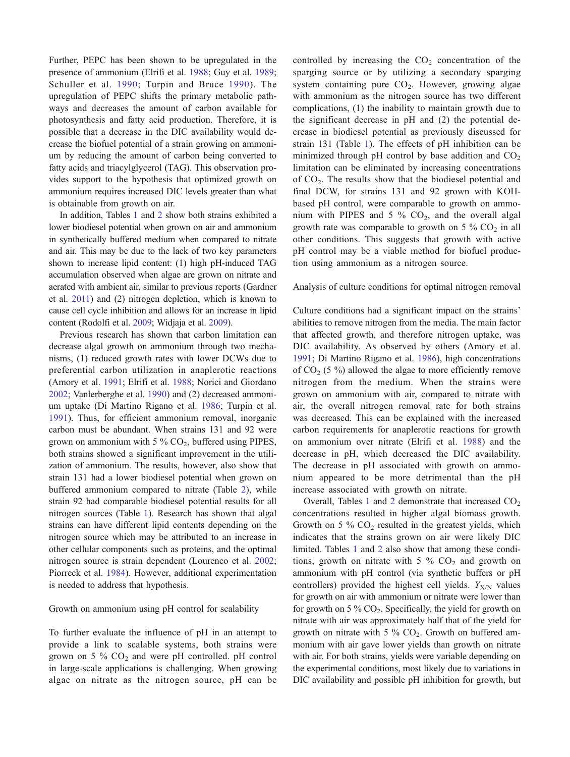Further, PEPC has been shown to be upregulated in the presence of ammonium (Elrifi et al. [1988;](#page-14-0) Guy et al. [1989](#page-14-0); Schuller et al. [1990](#page-15-0); Turpin and Bruce [1990](#page-15-0)). The upregulation of PEPC shifts the primary metabolic pathways and decreases the amount of carbon available for photosynthesis and fatty acid production. Therefore, it is possible that a decrease in the DIC availability would decrease the biofuel potential of a strain growing on ammonium by reducing the amount of carbon being converted to fatty acids and triacylglycerol (TAG). This observation provides support to the hypothesis that optimized growth on ammonium requires increased DIC levels greater than what is obtainable from growth on air.

In addition, Tables [1](#page-6-0) and [2](#page-7-0) show both strains exhibited a lower biodiesel potential when grown on air and ammonium in synthetically buffered medium when compared to nitrate and air. This may be due to the lack of two key parameters shown to increase lipid content: (1) high pH-induced TAG accumulation observed when algae are grown on nitrate and aerated with ambient air, similar to previous reports (Gardner et al. [2011](#page-14-0)) and (2) nitrogen depletion, which is known to cause cell cycle inhibition and allows for an increase in lipid content (Rodolfi et al. [2009;](#page-15-0) Widjaja et al. [2009\)](#page-15-0).

Previous research has shown that carbon limitation can decrease algal growth on ammonium through two mechanisms, (1) reduced growth rates with lower DCWs due to preferential carbon utilization in anaplerotic reactions (Amory et al. [1991](#page-14-0); Elrifi et al. [1988](#page-14-0); Norici and Giordano [2002;](#page-15-0) Vanlerberghe et al. [1990](#page-15-0)) and (2) decreased ammonium uptake (Di Martino Rigano et al. [1986](#page-14-0); Turpin et al. [1991](#page-15-0)). Thus, for efficient ammonium removal, inorganic carbon must be abundant. When strains 131 and 92 were grown on ammonium with 5 %  $CO<sub>2</sub>$ , buffered using PIPES, both strains showed a significant improvement in the utilization of ammonium. The results, however, also show that strain 131 had a lower biodiesel potential when grown on buffered ammonium compared to nitrate (Table [2](#page-7-0)), while strain 92 had comparable biodiesel potential results for all nitrogen sources (Table [1](#page-6-0)). Research has shown that algal strains can have different lipid contents depending on the nitrogen source which may be attributed to an increase in other cellular components such as proteins, and the optimal nitrogen source is strain dependent (Lourenco et al. [2002](#page-14-0); Piorreck et al. [1984](#page-15-0)). However, additional experimentation is needed to address that hypothesis.

## Growth on ammonium using pH control for scalability

To further evaluate the influence of pH in an attempt to provide a link to scalable systems, both strains were grown on 5 %  $CO<sub>2</sub>$  and were pH controlled. pH control in large-scale applications is challenging. When growing algae on nitrate as the nitrogen source, pH can be controlled by increasing the  $CO<sub>2</sub>$  concentration of the sparging source or by utilizing a secondary sparging system containing pure  $CO<sub>2</sub>$ . However, growing algae with ammonium as the nitrogen source has two different complications, (1) the inability to maintain growth due to the significant decrease in pH and (2) the potential decrease in biodiesel potential as previously discussed for strain 131 (Table [1\)](#page-6-0). The effects of pH inhibition can be minimized through pH control by base addition and  $CO<sub>2</sub>$ limitation can be eliminated by increasing concentrations of  $CO<sub>2</sub>$ . The results show that the biodiesel potential and final DCW, for strains 131 and 92 grown with KOHbased pH control, were comparable to growth on ammonium with PIPES and 5 %  $CO<sub>2</sub>$ , and the overall algal growth rate was comparable to growth on 5  $\%$  CO<sub>2</sub> in all other conditions. This suggests that growth with active pH control may be a viable method for biofuel production using ammonium as a nitrogen source.

## Analysis of culture conditions for optimal nitrogen removal

Culture conditions had a significant impact on the strains' abilities to remove nitrogen from the media. The main factor that affected growth, and therefore nitrogen uptake, was DIC availability. As observed by others (Amory et al. [1991](#page-14-0); Di Martino Rigano et al. [1986](#page-14-0)), high concentrations of  $CO<sub>2</sub>$  (5 %) allowed the algae to more efficiently remove nitrogen from the medium. When the strains were grown on ammonium with air, compared to nitrate with air, the overall nitrogen removal rate for both strains was decreased. This can be explained with the increased carbon requirements for anaplerotic reactions for growth on ammonium over nitrate (Elrifi et al. [1988\)](#page-14-0) and the decrease in pH, which decreased the DIC availability. The decrease in pH associated with growth on ammonium appeared to be more detrimental than the pH increase associated with growth on nitrate.

Overall, Tables [1](#page-6-0) and [2](#page-7-0) demonstrate that increased  $CO<sub>2</sub>$ concentrations resulted in higher algal biomass growth. Growth on 5  $\%$  CO<sub>2</sub> resulted in the greatest yields, which indicates that the strains grown on air were likely DIC limited. Tables [1](#page-6-0) and [2](#page-7-0) also show that among these conditions, growth on nitrate with 5  $\%$  CO<sub>2</sub> and growth on ammonium with pH control (via synthetic buffers or pH controllers) provided the highest cell yields.  $Y_{X/N}$  values for growth on air with ammonium or nitrate were lower than for growth on 5 %  $CO<sub>2</sub>$ . Specifically, the yield for growth on nitrate with air was approximately half that of the yield for growth on nitrate with 5  $\%$  CO<sub>2</sub>. Growth on buffered ammonium with air gave lower yields than growth on nitrate with air. For both strains, yields were variable depending on the experimental conditions, most likely due to variations in DIC availability and possible pH inhibition for growth, but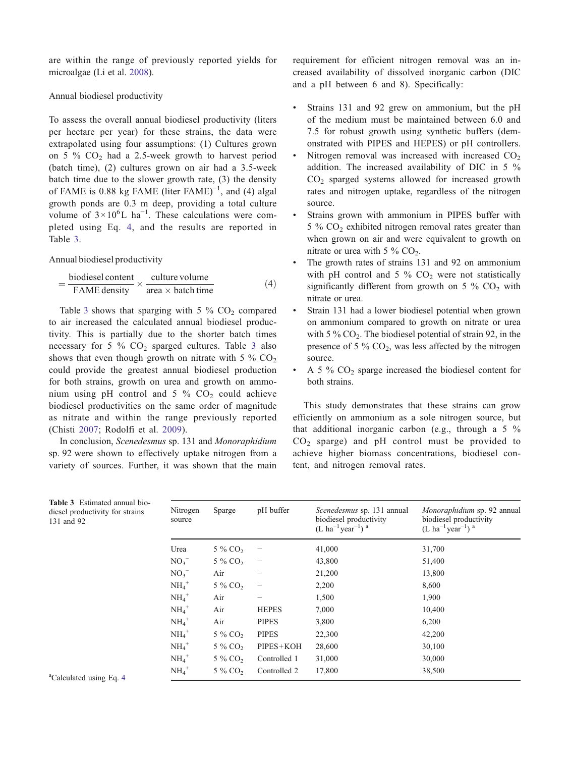are within the range of previously reported yields for microalgae (Li et al. [2008](#page-14-0)).

## Annual biodiesel productivity

To assess the overall annual biodiesel productivity (liters per hectare per year) for these strains, the data were extrapolated using four assumptions: (1) Cultures grown on 5 %  $CO<sub>2</sub>$  had a 2.5-week growth to harvest period (batch time), (2) cultures grown on air had a 3.5-week batch time due to the slower growth rate, (3) the density of FAME is 0.88 kg FAME (liter FAME)<sup>-1</sup>, and (4) algal growth ponds are 0.3 m deep, providing a total culture volume of  $3 \times 10^6$ L ha<sup>-1</sup>. These calculations were completed using Eq. 4, and the results are reported in Table 3.

## Annual biodiesel productivity

$$
= \frac{\text{biodiesel content}}{\text{FAME density}} \times \frac{\text{ culture volume}}{\text{area} \times \text{batch time}} \tag{4}
$$

Table 3 shows that sparging with 5 %  $CO<sub>2</sub>$  compared to air increased the calculated annual biodiesel productivity. This is partially due to the shorter batch times necessary for 5 %  $CO<sub>2</sub>$  sparged cultures. Table 3 also shows that even though growth on nitrate with 5  $\%$  CO<sub>2</sub> could provide the greatest annual biodiesel production for both strains, growth on urea and growth on ammonium using pH control and 5 %  $CO<sub>2</sub>$  could achieve biodiesel productivities on the same order of magnitude as nitrate and within the range previously reported (Chisti [2007;](#page-14-0) Rodolfi et al. [2009](#page-15-0)).

In conclusion, Scenedesmus sp. 131 and Monoraphidium sp. 92 were shown to effectively uptake nitrogen from a variety of sources. Further, it was shown that the main requirement for efficient nitrogen removal was an increased availability of dissolved inorganic carbon (DIC and a pH between 6 and 8). Specifically:

- & Strains 131 and 92 grew on ammonium, but the pH of the medium must be maintained between 6.0 and 7.5 for robust growth using synthetic buffers (demonstrated with PIPES and HEPES) or pH controllers.
- $\bullet$  Nitrogen removal was increased with increased CO<sub>2</sub> addition. The increased availability of DIC in 5 %  $CO<sub>2</sub>$  sparged systems allowed for increased growth rates and nitrogen uptake, regardless of the nitrogen source.
- Strains grown with ammonium in PIPES buffer with  $5\%$  CO<sub>2</sub> exhibited nitrogen removal rates greater than when grown on air and were equivalent to growth on nitrate or urea with 5 %  $CO<sub>2</sub>$ .
- The growth rates of strains 131 and 92 on ammonium with pH control and 5 %  $CO<sub>2</sub>$  were not statistically significantly different from growth on 5 %  $CO<sub>2</sub>$  with nitrate or urea.
- Strain 131 had a lower biodiesel potential when grown on ammonium compared to growth on nitrate or urea with 5  $\%$  CO<sub>2</sub>. The biodiesel potential of strain 92, in the presence of 5  $\%$  CO<sub>2</sub>, was less affected by the nitrogen source.
- A 5  $\%$  CO<sub>2</sub> sparge increased the biodiesel content for both strains.

This study demonstrates that these strains can grow efficiently on ammonium as a sole nitrogen source, but that additional inorganic carbon (e.g., through a 5 %  $CO<sub>2</sub>$  sparge) and pH control must be provided to achieve higher biomass concentrations, biodiesel content, and nitrogen removal rates.

| Nitrogen<br>source  | Sparge                | pH buffer    | Scenedesmus sp. 131 annual<br>biodiesel productivity<br>(L ha <sup>-1</sup> year <sup>-1</sup> ) <sup>a</sup> | Monoraphidium sp. 92 annual<br>biodiesel productivity<br>(L ha <sup>-1</sup> year <sup>-1</sup> ) <sup>a</sup> |
|---------------------|-----------------------|--------------|---------------------------------------------------------------------------------------------------------------|----------------------------------------------------------------------------------------------------------------|
| Urea                | $5\%$ CO <sub>2</sub> |              | 41,000                                                                                                        | 31,700                                                                                                         |
| $NO_3^-$            | 5 % CO <sub>2</sub>   |              | 43,800                                                                                                        | 51,400                                                                                                         |
| NO <sub>3</sub>     | Air                   |              | 21,200                                                                                                        | 13,800                                                                                                         |
| $NH_4$ <sup>+</sup> | $5\%$ CO <sub>2</sub> |              | 2,200                                                                                                         | 8,600                                                                                                          |
| $NH_4$ <sup>+</sup> | Air                   |              | 1,500                                                                                                         | 1,900                                                                                                          |
| $NH_4$ <sup>+</sup> | Air                   | <b>HEPES</b> | 7,000                                                                                                         | 10,400                                                                                                         |
| $NH_4$ <sup>+</sup> | Air                   | <b>PIPES</b> | 3,800                                                                                                         | 6,200                                                                                                          |
| $NH_4$ <sup>+</sup> | $5\%$ CO <sub>2</sub> | <b>PIPES</b> | 22,300                                                                                                        | 42,200                                                                                                         |
| $NH_4$ <sup>+</sup> | 5 % CO <sub>2</sub>   | PIPES+KOH    | 28,600                                                                                                        | 30,100                                                                                                         |
| $NH_4$ <sup>+</sup> | 5 % CO <sub>2</sub>   | Controlled 1 | 31,000                                                                                                        | 30,000                                                                                                         |
| $NH_4$ <sup>+</sup> | 5 % CO <sub>2</sub>   | Controlled 2 | 17,800                                                                                                        | 38,500                                                                                                         |

Table 3 Estimated annual biodiesel productivity for strains 131 and 92

<sup>a</sup>Calculated using Eq. 4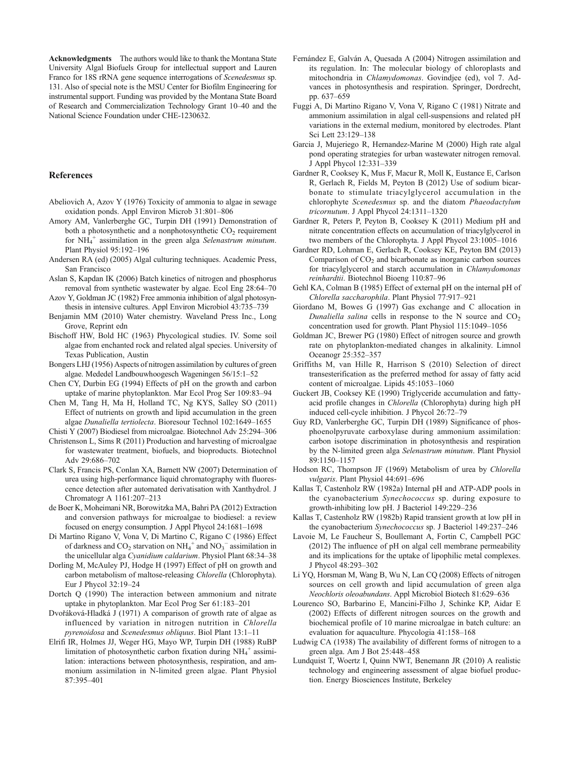<span id="page-14-0"></span>Acknowledgments The authors would like to thank the Montana State University Algal Biofuels Group for intellectual support and Lauren Franco for 18S rRNA gene sequence interrogations of Scenedesmus sp. 131. Also of special note is the MSU Center for Biofilm Engineering for instrumental support. Funding was provided by the Montana State Board of Research and Commercialization Technology Grant 10–40 and the National Science Foundation under CHE-1230632.

#### References

- Abeliovich A, Azov Y (1976) Toxicity of ammonia to algae in sewage oxidation ponds. Appl Environ Microb 31:801–806
- Amory AM, Vanlerberghe GC, Turpin DH (1991) Demonstration of both a photosynthetic and a nonphotosynthetic  $CO<sub>2</sub>$  requirement for  $NH_4^+$  assimilation in the green alga Selenastrum minutum. Plant Physiol 95:192–196
- Andersen RA (ed) (2005) Algal culturing techniques. Academic Press, San Francisco
- Aslan S, Kapdan IK (2006) Batch kinetics of nitrogen and phosphorus removal from synthetic wastewater by algae. Ecol Eng 28:64–70
- Azov Y, Goldman JC (1982) Free ammonia inhibition of algal photosynthesis in intensive cultures. Appl Environ Microbiol 43:735–739
- Benjamin MM (2010) Water chemistry. Waveland Press Inc., Long Grove, Reprint edn
- Bischoff HW, Bold HC (1963) Phycological studies. IV. Some soil algae from enchanted rock and related algal species. University of Texas Publication, Austin
- Bongers LHJ (1956) Aspects of nitrogen assimilation by cultures of green algae. Mededel Landbouwhoogesch Wageningen 56/15:1–52
- Chen CY, Durbin EG (1994) Effects of pH on the growth and carbon uptake of marine phytoplankton. Mar Ecol Prog Ser 109:83–94
- Chen M, Tang H, Ma H, Holland TC, Ng KYS, Salley SO (2011) Effect of nutrients on growth and lipid accumulation in the green algae Dunaliella tertiolecta. Bioresour Technol 102:1649–1655

Chisti Y (2007) Biodiesel from microalgae. Biotechnol Adv 25:294–306

- Christenson L, Sims R (2011) Production and harvesting of microalgae for wastewater treatment, biofuels, and bioproducts. Biotechnol Adv 29:686–702
- Clark S, Francis PS, Conlan XA, Barnett NW (2007) Determination of urea using high-performance liquid chromatography with fluorescence detection after automated derivatisation with Xanthydrol. J Chromatogr A 1161:207–213
- de Boer K, Moheimani NR, Borowitzka MA, Bahri PA (2012) Extraction and conversion pathways for microalgae to biodiesel: a review focused on energy consumption. J Appl Phycol 24:1681–1698
- Di Martino Rigano V, Vona V, Di Martino C, Rigano C (1986) Effect of darkness and  $CO_2$  starvation on  $NH_4^+$  and  $NO_3^-$  assimilation in the unicellular alga Cyanidium caldarium. Physiol Plant 68:34–38
- Dorling M, McAuley PJ, Hodge H (1997) Effect of pH on growth and carbon metabolism of maltose-releasing Chlorella (Chlorophyta). Eur J Phycol 32:19–24
- Dortch Q (1990) The interaction between ammonium and nitrate uptake in phytoplankton. Mar Ecol Prog Ser 61:183–201
- Dvořáková-Hladká J (1971) A comparison of growth rate of algae as influenced by variation in nitrogen nutrition in Chlorella pyrenoidosa and Scenedesmus obliquus. Biol Plant 13:1–11
- Elrifi IR, Holmes JJ, Weger HG, Mayo WP, Turpin DH (1988) RuBP limitation of photosynthetic carbon fixation during NH<sub>4</sub><sup>+</sup> assimilation: interactions between photosynthesis, respiration, and ammonium assimilation in N-limited green algae. Plant Physiol 87:395–401
- Fernández E, Galván A, Quesada A (2004) Nitrogen assimilation and its regulation. In: The molecular biology of chloroplasts and mitochondria in Chlamydomonas. Govindjee (ed), vol 7. Advances in photosynthesis and respiration. Springer, Dordrecht, pp. 637–659
- Fuggi A, Di Martino Rigano V, Vona V, Rigano C (1981) Nitrate and ammonium assimilation in algal cell-suspensions and related pH variations in the external medium, monitored by electrodes. Plant Sci Lett 23:129–138
- Garcia J, Mujeriego R, Hernandez-Marine M (2000) High rate algal pond operating strategies for urban wastewater nitrogen removal. J Appl Phycol 12:331–339
- Gardner R, Cooksey K, Mus F, Macur R, Moll K, Eustance E, Carlson R, Gerlach R, Fields M, Peyton B (2012) Use of sodium bicarbonate to stimulate triacylglycerol accumulation in the chlorophyte Scenedesmus sp. and the diatom Phaeodactylum tricornutum. J Appl Phycol 24:1311–1320
- Gardner R, Peters P, Peyton B, Cooksey K (2011) Medium pH and nitrate concentration effects on accumulation of triacylglycerol in two members of the Chlorophyta. J Appl Phycol 23:1005–1016
- Gardner RD, Lohman E, Gerlach R, Cooksey KE, Peyton BM (2013) Comparison of  $CO<sub>2</sub>$  and bicarbonate as inorganic carbon sources for triacylglycerol and starch accumulation in Chlamydomonas reinhardtii. Biotechnol Bioeng 110:87–96
- Gehl KA, Colman B (1985) Effect of external pH on the internal pH of Chlorella saccharophila. Plant Physiol 77:917–921
- Giordano M, Bowes G (1997) Gas exchange and C allocation in Dunaliella salina cells in response to the N source and  $CO<sub>2</sub>$ concentration used for growth. Plant Physiol 115:1049–1056
- Goldman JC, Brewer PG (1980) Effect of nitrogen source and growth rate on phytoplankton-mediated changes in alkalinity. Limnol Oceanogr 25:352–357
- Griffiths M, van Hille R, Harrison S (2010) Selection of direct transesterification as the preferred method for assay of fatty acid content of microalgae. Lipids 45:1053–1060
- Guckert JB, Cooksey KE (1990) Triglyceride accumulation and fattyacid profile changes in Chlorella (Chlorophyta) during high pH induced cell-cycle inhibition. J Phycol 26:72–79
- Guy RD, Vanlerberghe GC, Turpin DH (1989) Significance of phosphoenolpyruvate carboxylase during ammonium assimilation: carbon isotope discrimination in photosynthesis and respiration by the N-limited green alga Selenastrum minutum. Plant Physiol 89:1150–1157
- Hodson RC, Thompson JF (1969) Metabolism of urea by Chlorella vulgaris. Plant Physiol 44:691–696
- Kallas T, Castenholz RW (1982a) Internal pH and ATP-ADP pools in the cyanobacterium Synechococcus sp. during exposure to growth-inhibiting low pH. J Bacteriol 149:229–236
- Kallas T, Castenholz RW (1982b) Rapid transient growth at low pH in the cyanobacterium Synechococcus sp. J Bacteriol 149:237–246
- Lavoie M, Le Faucheur S, Boullemant A, Fortin C, Campbell PGC (2012) The influence of pH on algal cell membrane permeability and its implications for the uptake of lipophilic metal complexes. J Phycol 48:293–302
- Li YQ, Horsman M, Wang B, Wu N, Lan CQ (2008) Effects of nitrogen sources on cell growth and lipid accumulation of green alga Neochloris oleoabundans. Appl Microbiol Biotech 81:629–636
- Lourenco SO, Barbarino E, Mancini-Filho J, Schinke KP, Aidar E (2002) Effects of different nitrogen sources on the growth and biochemical profile of 10 marine microalgae in batch culture: an evaluation for aquaculture. Phycologia 41:158–168
- Ludwig CA (1938) The availability of different forms of nitrogen to a green alga. Am J Bot 25:448–458
- Lundquist T, Woertz I, Quinn NWT, Benemann JR (2010) A realistic technology and engineering assessment of algae biofuel production. Energy Biosciences Institute, Berkeley